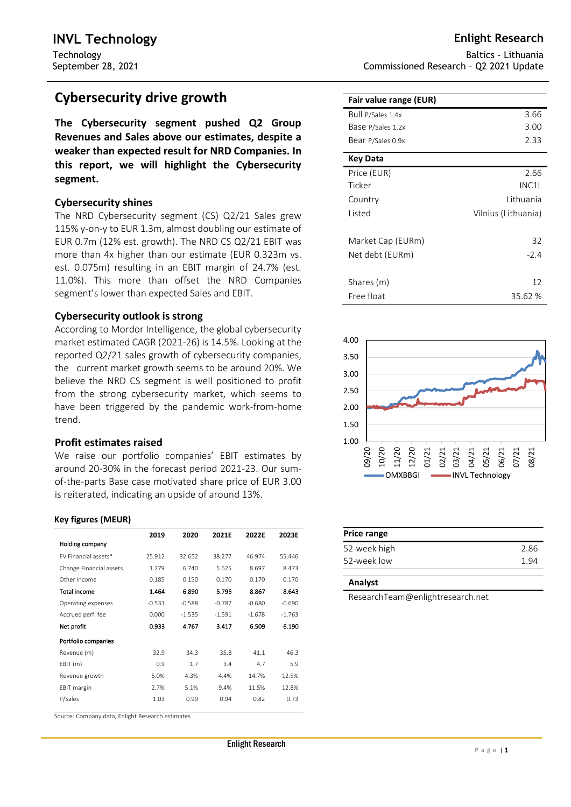# **Cybersecurity drive growth**

**The Cybersecurity segment pushed Q2 Group Revenues and Sales above our estimates, despite a weaker than expected result for NRD Companies. In this report, we will highlight the Cybersecurity segment.**

# **Cybersecurity shines**

The NRD Cybersecurity segment (CS) Q2/21 Sales grew 115% y-on-y to EUR 1.3m, almost doubling our estimate of EUR 0.7m (12% est. growth). The NRD CS Q2/21 EBIT was more than 4x higher than our estimate (EUR 0.323m vs. est. 0.075m) resulting in an EBIT margin of 24.7% (est. 11.0%). This more than offset the NRD Companies segment's lower than expected Sales and EBIT.

# **Cybersecurity outlook is strong**

According to Mordor Intelligence, the global cybersecurity market estimated CAGR (2021-26) is 14.5%. Looking at the reported Q2/21 sales growth of cybersecurity companies, the current market growth seems to be around 20%. We believe the NRD CS segment is well positioned to profit from the strong cybersecurity market, which seems to have been triggered by the pandemic work-from-home trend.

# **Profit estimates raised**

We raise our portfolio companies' EBIT estimates by around 20-30% in the forecast period 2021-23. Our sumof-the-parts Base case motivated share price of EUR 3.00 is reiterated, indicating an upside of around 13%.

#### **Key figures (MEUR)**

|                         | 2019     | 2020     | 2021E    | 2022E    | 2023E    |
|-------------------------|----------|----------|----------|----------|----------|
| Holding company         |          |          |          |          |          |
| FV Financial assets*    | 25.912   | 32.652   | 38.277   | 46.974   | 55.446   |
| Change Financial assets | 1.279    | 6.740    | 5.625    | 8.697    | 8.473    |
| Other income            | 0.185    | 0.150    | 0.170    | 0.170    | 0.170    |
| <b>Total income</b>     | 1.464    | 6.890    | 5.795    | 8.867    | 8.643    |
| Operating expenses      | $-0.531$ | $-0.588$ | $-0.787$ | $-0.680$ | $-0.690$ |
| Accrued perf. fee       | 0.000    | $-1.535$ | $-1.591$ | $-1.678$ | $-1.763$ |
| Net profit              | 0.933    | 4.767    | 3.417    | 6.509    | 6.190    |
| Portfolio companies     |          |          |          |          |          |
| Revenue (m)             | 32.9     | 34.3     | 35.8     | 41.1     | 46.3     |
| EBIT(m)                 | 0.9      | 1.7      | 3.4      | 4.7      | 5.9      |
| Revenue growth          | 5.0%     | 4.3%     | 4.4%     | 14.7%    | 12.5%    |
| <b>EBIT</b> margin      | 2.7%     | 5.1%     | 9.4%     | 11.5%    | 12.8%    |
| P/Sales                 | 1.03     | 0.99     | 0.94     | 0.82     | 0.73     |
|                         |          |          |          |          |          |

Source: Company data, Enlight Research estimates

Baltics - Lithuania Commissioned Research – Q2 2021 Update

| 3.66                |
|---------------------|
| 3.00                |
| 2.33                |
|                     |
| 2.66                |
| INC1L               |
| Lithuania           |
| Vilnius (Lithuania) |
|                     |
| 32                  |
| $-2.4$              |
|                     |
| 12                  |
| 35.62 %             |
|                     |



| Price range  |      |
|--------------|------|
| 52-week high | 2.86 |
| 52-week low  | 194  |

ResearchTeam@enlightresearch.net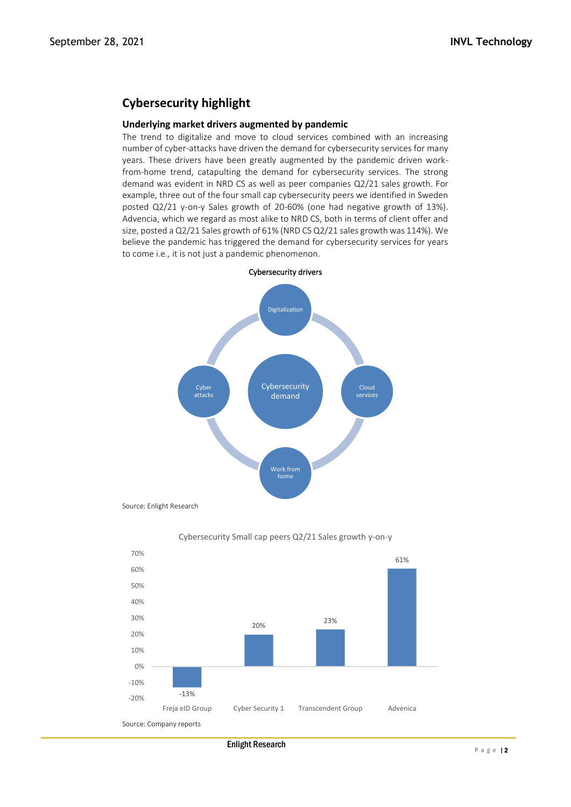# **Cybersecurity highlight**

## **Underlying market drivers augmented by pandemic**

The trend to digitalize and move to cloud services combined with an increasing number of cyber-attacks have driven the demand for cybersecurity services for many years. These drivers have been greatly augmented by the pandemic driven workfrom-home trend, catapulting the demand for cybersecurity services. The strong demand was evident in NRD CS as well as peer companies Q2/21 sales growth. For example, three out of the four small cap cybersecurity peers we identified in Sweden posted Q2/21 y-on-y Sales growth of 20-60% (one had negative growth of 13%). Advencia, which we regard as most alike to NRD CS, both in terms of client offer and size, posted a Q2/21 Sales growth of 61% (NRD CS Q2/21 sales growth was 114%). We believe the pandemic has triggered the demand for cybersecurity services for years to come i.e., it is not just a pandemic phenomenon.



Source: Enlight Research



Cybersecurity Small cap peers Q2/21 Sales growth y-on-y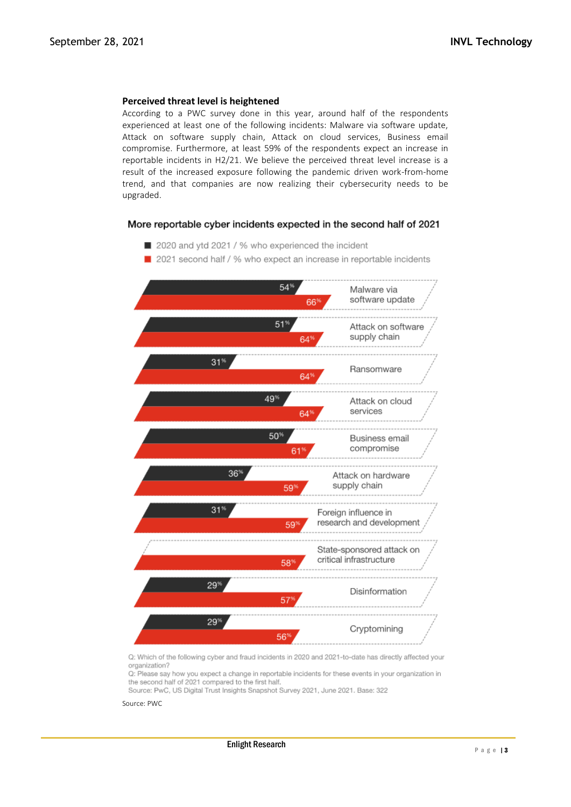#### **Perceived threat level is heightened**

According to a PWC survey done in this year, around half of the respondents experienced at least one of the following incidents: Malware via software update, Attack on software supply chain, Attack on cloud services, Business email compromise. Furthermore, at least 59% of the respondents expect an increase in reportable incidents in H2/21. We believe the perceived threat level increase is a result of the increased exposure following the pandemic driven work-from-home trend, and that companies are now realizing their cybersecurity needs to be upgraded.

#### More reportable cyber incidents expected in the second half of 2021

2020 and ytd 2021 / % who experienced the incident



2021 second half / % who expect an increase in reportable incidents

Q: Which of the following cyber and fraud incidents in 2020 and 2021-to-date has directly affected your organization?

Q: Please say how you expect a change in reportable incidents for these events in your organization in the second half of 2021 compared to the first half.

Source: PwC, US Digital Trust Insights Snapshot Survey 2021, June 2021. Base: 322

Source: PWC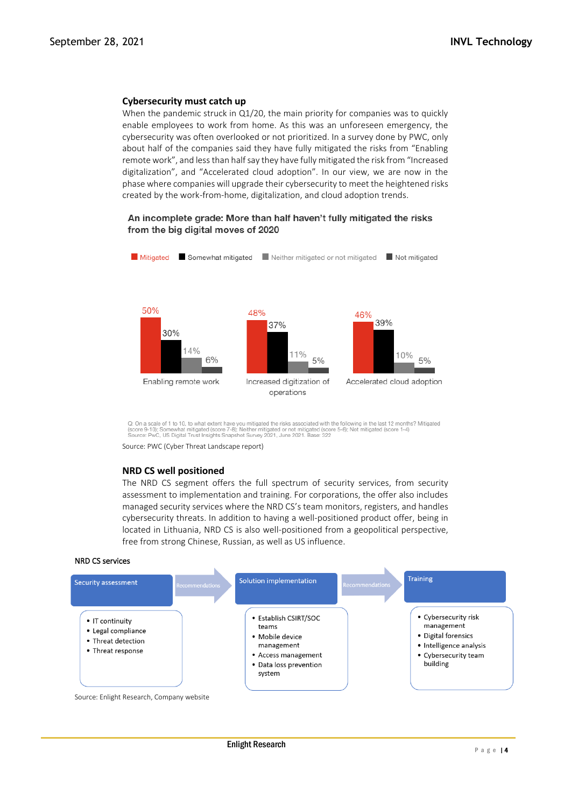### **Cybersecurity must catch up**

When the pandemic struck in Q1/20, the main priority for companies was to quickly enable employees to work from home. As this was an unforeseen emergency, the cybersecurity was often overlooked or not prioritized. In a survey done by PWC, only about half of the companies said they have fully mitigated the risks from "Enabling remote work", and less than half say they have fully mitigated the risk from "Increased digitalization", and "Accelerated cloud adoption". In our view, we are now in the phase where companies will upgrade their cybersecurity to meet the heightened risks created by the work-from-home, digitalization, and cloud adoption trends.

#### An incomplete grade: More than half haven't fully mitigated the risks from the big digital moves of 2020



Q: On a scale of 1 to 10, to what extent have you mitigated the risks associated with the following in the last 12 months? Mitigated<br>(score 9-10); Somewhat mitigated (score 7-8); Neither mitigated or not mitigated (score 5

Source: PWC (Cyber Threat Landscape report)

#### **NRD CS well positioned**

The NRD CS segment offers the full spectrum of security services, from security assessment to implementation and training. For corporations, the offer also includes managed security services where the NRD CS's team monitors, registers, and handles cybersecurity threats. In addition to having a well-positioned product offer, being in located in Lithuania, NRD CS is also well-positioned from a geopolitical perspective, free from strong Chinese, Russian, as well as US influence.

#### NRD CS services

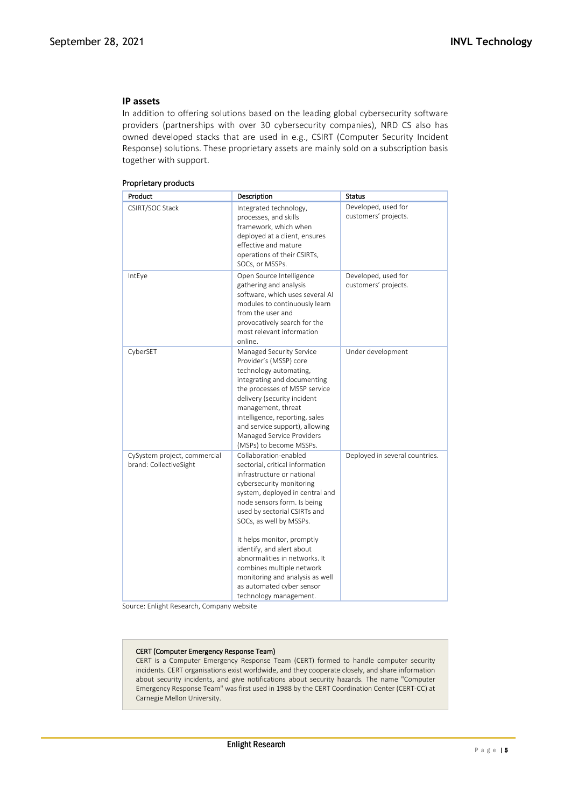# **IP assets**

In addition to offering solutions based on the leading global cybersecurity software providers (partnerships with over 30 cybersecurity companies), NRD CS also has owned developed stacks that are used in e.g., CSIRT (Computer Security Incident Response) solutions. These proprietary assets are mainly sold on a subscription basis together with support.

| Product                                                | Description                                                                                                                                                                                                                                                                                                                                                                                                                                                        | <b>Status</b>                               |
|--------------------------------------------------------|--------------------------------------------------------------------------------------------------------------------------------------------------------------------------------------------------------------------------------------------------------------------------------------------------------------------------------------------------------------------------------------------------------------------------------------------------------------------|---------------------------------------------|
| CSIRT/SOC Stack                                        | Integrated technology,<br>processes, and skills<br>framework, which when<br>deployed at a client, ensures<br>effective and mature<br>operations of their CSIRTs,<br>SOCs, or MSSPs.                                                                                                                                                                                                                                                                                | Developed, used for<br>customers' projects. |
| IntEye                                                 | Open Source Intelligence<br>gathering and analysis<br>software, which uses several AI<br>modules to continuously learn<br>from the user and<br>provocatively search for the<br>most relevant information<br>online.                                                                                                                                                                                                                                                | Developed, used for<br>customers' projects. |
| CyberSET                                               | Managed Security Service<br>Provider's (MSSP) core<br>technology automating,<br>integrating and documenting<br>the processes of MSSP service<br>delivery (security incident<br>management, threat<br>intelligence, reporting, sales<br>and service support), allowing<br>Managed Service Providers<br>(MSPs) to become MSSPs.                                                                                                                                      | Under development                           |
| CySystem project, commercial<br>brand: CollectiveSight | Collaboration-enabled<br>sectorial, critical information<br>infrastructure or national<br>cybersecurity monitoring<br>system, deployed in central and<br>node sensors form. Is being<br>used by sectorial CSIRTs and<br>SOCs, as well by MSSPs.<br>It helps monitor, promptly<br>identify, and alert about<br>abnormalities in networks. It<br>combines multiple network<br>monitoring and analysis as well<br>as automated cyber sensor<br>technology management. | Deployed in several countries.              |

#### Proprietary products

Source: Enlight Research, Company website

#### CERT (Computer Emergency Response Team)

CERT is a Computer Emergency Response Team (CERT) formed to handle computer security incidents. CERT organisations exist worldwide, and they cooperate closely, and share information about security incidents, and give notifications about security hazards. The name "Computer Emergency Response Team" was first used in 1988 by the CERT Coordination Center (CERT-CC) at Carnegie Mellon University.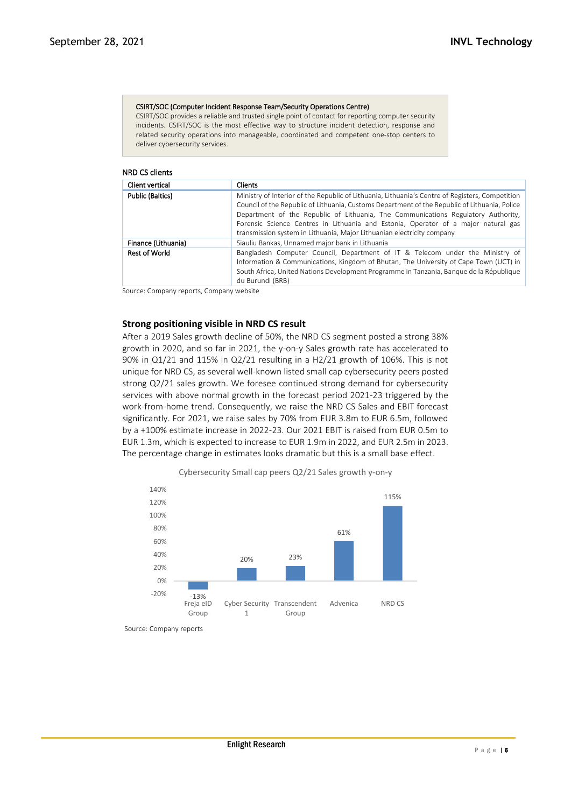#### CSIRT/SOC (Computer Incident Response Team/Security Operations Centre)

CSIRT/SOC provides a reliable and trusted single point of contact for reporting computer security incidents. CSIRT/SOC is the most effective way to structure incident detection, response and related security operations into manageable, coordinated and competent one-stop centers to deliver cybersecurity services.

#### NRD CS clients

| Client vertical         | <b>Clients</b>                                                                                                                                                                                                                                                                                                                                                                                                                                        |
|-------------------------|-------------------------------------------------------------------------------------------------------------------------------------------------------------------------------------------------------------------------------------------------------------------------------------------------------------------------------------------------------------------------------------------------------------------------------------------------------|
| <b>Public (Baltics)</b> | Ministry of Interior of the Republic of Lithuania, Lithuania's Centre of Registers, Competition<br>Council of the Republic of Lithuania, Customs Department of the Republic of Lithuania, Police<br>Department of the Republic of Lithuania, The Communications Regulatory Authority,<br>Forensic Science Centres in Lithuania and Estonia, Operator of a major natural gas<br>transmission system in Lithuania, Major Lithuanian electricity company |
| Finance (Lithuania)     | Siauliu Bankas, Unnamed major bank in Lithuania                                                                                                                                                                                                                                                                                                                                                                                                       |
| <b>Rest of World</b>    | Bangladesh Computer Council, Department of IT & Telecom under the Ministry of<br>Information & Communications, Kingdom of Bhutan, The University of Cape Town (UCT) in<br>South Africa, United Nations Development Programme in Tanzania, Banque de la République<br>du Burundi (BRB)                                                                                                                                                                 |

Source: Company reports, Company website

### **Strong positioning visible in NRD CS result**

After a 2019 Sales growth decline of 50%, the NRD CS segment posted a strong 38% growth in 2020, and so far in 2021, the y-on-y Sales growth rate has accelerated to 90% in Q1/21 and 115% in Q2/21 resulting in a H2/21 growth of 106%. This is not unique for NRD CS, as several well-known listed small cap cybersecurity peers posted strong Q2/21 sales growth. We foresee continued strong demand for cybersecurity services with above normal growth in the forecast period 2021-23 triggered by the work-from-home trend. Consequently, we raise the NRD CS Sales and EBIT forecast significantly. For 2021, we raise sales by 70% from EUR 3.8m to EUR 6.5m, followed by a +100% estimate increase in 2022-23. Our 2021 EBIT is raised from EUR 0.5m to EUR 1.3m, which is expected to increase to EUR 1.9m in 2022, and EUR 2.5m in 2023. The percentage change in estimates looks dramatic but this is a small base effect.



Cybersecurity Small cap peers Q2/21 Sales growth y-on-y

Source: Company reports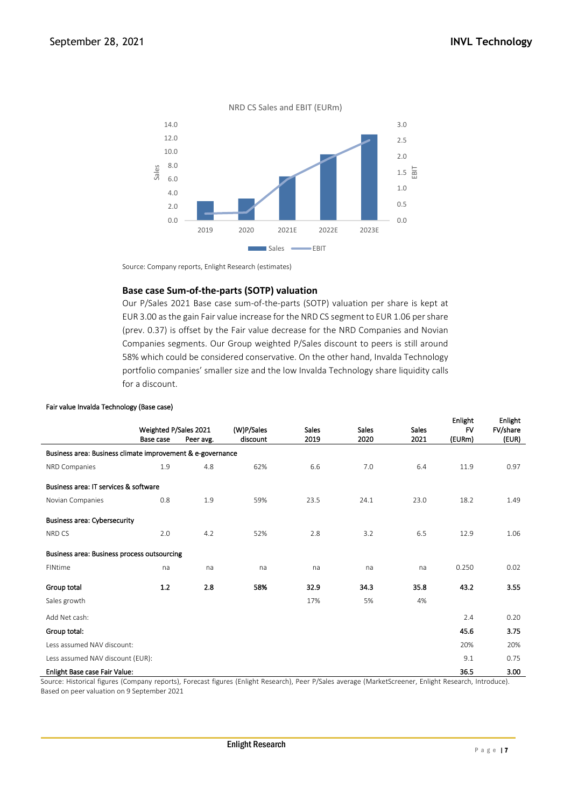

Source: Company reports, Enlight Research (estimates)

# **Base case Sum-of-the-parts (SOTP) valuation**

Our P/Sales 2021 Base case sum-of-the-parts (SOTP) valuation per share is kept at EUR 3.00 as the gain Fair value increase for the NRD CS segment to EUR 1.06 per share (prev. 0.37) is offset by the Fair value decrease for the NRD Companies and Novian Companies segments. Our Group weighted P/Sales discount to peers is still around 58% which could be considered conservative. On the other hand, Invalda Technology portfolio companies' smaller size and the low Invalda Technology share liquidity calls for a discount.

|                                                            | Weighted P/Sales 2021 |           | (W)P/Sales<br><b>Sales</b> |      | <b>Sales</b> | <b>Sales</b> | <b>Enlight</b><br>FV | Enlight<br>FV/share |
|------------------------------------------------------------|-----------------------|-----------|----------------------------|------|--------------|--------------|----------------------|---------------------|
|                                                            | Base case             | Peer avg. | discount                   | 2019 | 2020         | 2021         | (EURm)               | (EUR)               |
| Business area: Business climate improvement & e-governance |                       |           |                            |      |              |              |                      |                     |
| NRD Companies                                              | 1.9                   | 4.8       | 62%                        | 6.6  | 7.0          | 6.4          | 11.9                 | 0.97                |
| Business area: IT services & software                      |                       |           |                            |      |              |              |                      |                     |
| Novian Companies                                           | 0.8                   | 1.9       | 59%                        | 23.5 | 24.1         | 23.0         | 18.2                 | 1.49                |
| <b>Business area: Cybersecurity</b>                        |                       |           |                            |      |              |              |                      |                     |
| NRD CS                                                     | 2.0                   | 4.2       | 52%                        | 2.8  | 3.2          | 6.5          | 12.9                 | 1.06                |
| Business area: Business process outsourcing                |                       |           |                            |      |              |              |                      |                     |
| FINtime                                                    | na                    | na        | na                         | na   | na           | na           | 0.250                | 0.02                |
| Group total                                                | 1.2                   | 2.8       | 58%                        | 32.9 | 34.3         | 35.8         | 43.2                 | 3.55                |
| Sales growth                                               |                       |           |                            | 17%  | 5%           | 4%           |                      |                     |
| Add Net cash:                                              |                       |           |                            |      |              |              | 2.4                  | 0.20                |
| Group total:                                               |                       |           |                            |      |              |              | 45.6                 | 3.75                |
| Less assumed NAV discount:                                 |                       |           |                            |      |              |              | 20%                  | 20%                 |
| Less assumed NAV discount (EUR):                           |                       |           |                            |      |              |              | 9.1                  | 0.75                |
| <b>Enlight Base case Fair Value:</b>                       |                       |           |                            |      |              |              | 36.5                 | 3.00                |

Source: Historical figures (Company reports), Forecast figures (Enlight Research), Peer P/Sales average (MarketScreener, Enlight Research, Introduce). Based on peer valuation on 9 September 2021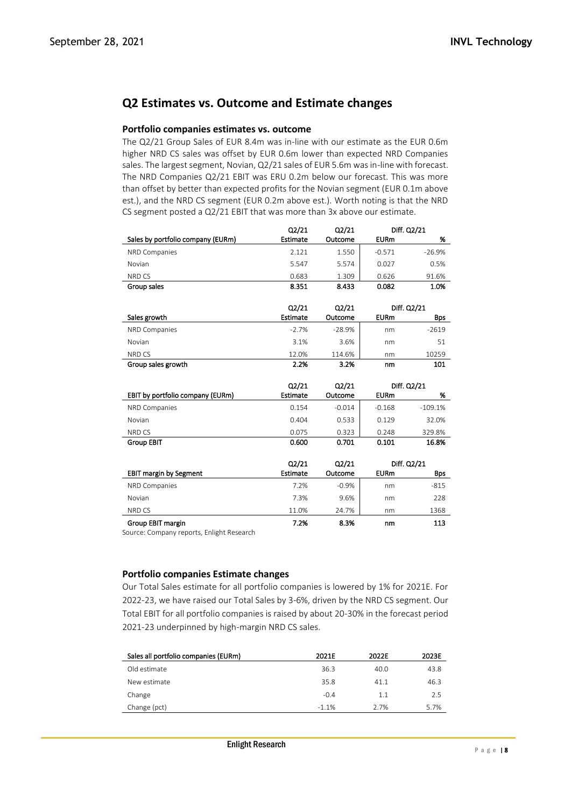# **Q2 Estimates vs. Outcome and Estimate changes**

# **Portfolio companies estimates vs. outcome**

The Q2/21 Group Sales of EUR 8.4m was in-line with our estimate as the EUR 0.6m higher NRD CS sales was offset by EUR 0.6m lower than expected NRD Companies sales. The largest segment, Novian, Q2/21 sales of EUR 5.6m was in-line with forecast. The NRD Companies Q2/21 EBIT was ERU 0.2m below our forecast. This was more than offset by better than expected profits for the Novian segment (EUR 0.1m above est.), and the NRD CS segment (EUR 0.2m above est.). Worth noting is that the NRD CS segment posted a Q2/21 EBIT that was more than 3x above our estimate.

|                                   | Q2/21    | Q2/21    |             | Diff. Q2/21 |
|-----------------------------------|----------|----------|-------------|-------------|
| Sales by portfolio company (EURm) | Estimate | Outcome  | <b>EURm</b> | %           |
| NRD Companies                     | 2.121    | 1.550    | $-0.571$    | $-26.9%$    |
| Novian                            | 5.547    | 5.574    | 0.027       | 0.5%        |
| NRD CS                            | 0.683    | 1.309    | 0.626       | 91.6%       |
| Group sales                       | 8.351    | 8.433    | 0.082       | 1.0%        |
|                                   |          |          |             |             |
|                                   | Q2/21    | Q2/21    |             | Diff. Q2/21 |
| Sales growth                      | Estimate | Outcome  | <b>EURm</b> | <b>Bps</b>  |
| NRD Companies                     | $-2.7%$  | $-28.9%$ | nm          | $-2619$     |
| Novian                            | 3.1%     | 3.6%     | nm          | 51          |
| NRD CS                            | 12.0%    | 114.6%   | nm          | 10259       |
| Group sales growth                | 2.2%     | 3.2%     | nm          | 101         |
|                                   |          |          |             |             |
|                                   |          |          |             |             |
|                                   | Q2/21    | Q2/21    |             | Diff. Q2/21 |
| EBIT by portfolio company (EURm)  | Estimate | Outcome  | <b>EURm</b> | %           |
| NRD Companies                     | 0.154    | $-0.014$ | $-0.168$    | $-109.1%$   |
| Novian                            | 0.404    | 0.533    | 0.129       | 32.0%       |
| NRD CS                            | 0.075    | 0.323    | 0.248       | 329.8%      |
| <b>Group EBIT</b>                 | 0.600    | 0.701    | 0.101       | 16.8%       |
|                                   |          |          |             |             |
|                                   | Q2/21    | Q2/21    |             | Diff. Q2/21 |
| <b>EBIT margin by Segment</b>     | Estimate | Outcome  | <b>EURm</b> | Bps         |
| NRD Companies                     | 7.2%     | $-0.9%$  | nm          | $-815$      |
| Novian                            | 7.3%     | 9.6%     | nm          | 228         |
| NRD CS                            | 11.0%    | 24.7%    | nm          | 1368        |

Source: Company reports, Enlight Research

# **Portfolio companies Estimate changes**

Our Total Sales estimate for all portfolio companies is lowered by 1% for 2021E. For 2022-23, we have raised our Total Sales by 3-6%, driven by the NRD CS segment. Our Total EBIT for all portfolio companies is raised by about 20-30% in the forecast period 2021-23 underpinned by high-margin NRD CS sales.

| Sales all portfolio companies (EURm) | 2021E   | 2022E | 2023E |
|--------------------------------------|---------|-------|-------|
| Old estimate                         | 36.3    | 40.0  | 43.8  |
| New estimate                         | 35.8    | 41.1  | 46.3  |
| Change                               | $-0.4$  | 1.1   | 2.5   |
| Change (pct)                         | $-1.1%$ | 2.7%  | 5.7%  |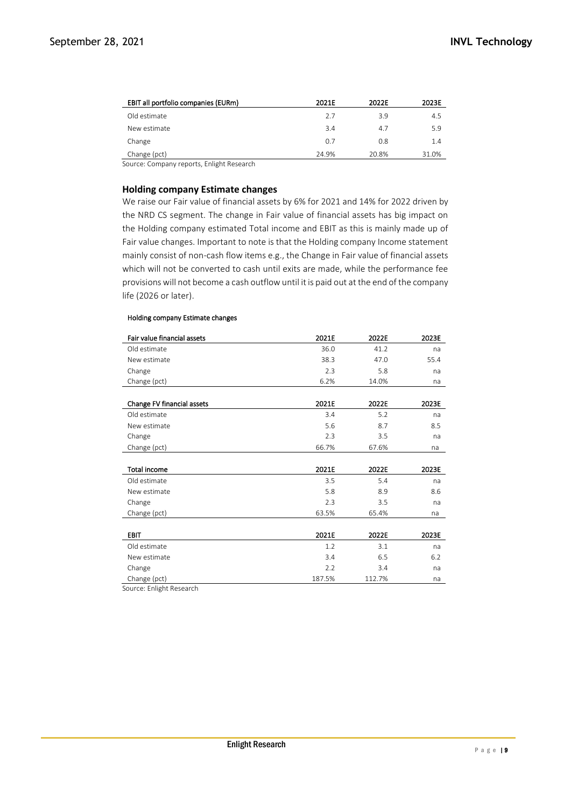| EBIT all portfolio companies (EURm) | 2021E | 2022E | 2023E |
|-------------------------------------|-------|-------|-------|
| Old estimate                        | 2.7   | 3.9   | 4.5   |
| New estimate                        | 3.4   | 4.7   | 5.9   |
| Change                              | 0.7   | 0.8   | 1.4   |
| Change (pct)                        | 24.9% | 20.8% | 31.0% |

Source: Company reports, Enlight Research

#### **Holding company Estimate changes**

We raise our Fair value of financial assets by 6% for 2021 and 14% for 2022 driven by the NRD CS segment. The change in Fair value of financial assets has big impact on the Holding company estimated Total income and EBIT as this is mainly made up of Fair value changes. Important to note is that the Holding company Income statement mainly consist of non-cash flow items e.g., the Change in Fair value of financial assets which will not be converted to cash until exits are made, while the performance fee provisions will not become a cash outflow until it is paid out at the end of the company life (2026 or later).

#### Holding company Estimate changes

| Fair value financial assets | 2021E  | 2022E  | 2023E |
|-----------------------------|--------|--------|-------|
| Old estimate                | 36.0   | 41.2   | na    |
| New estimate                | 38.3   | 47.0   | 55.4  |
| Change                      | 2.3    | 5.8    | na    |
| Change (pct)                | 6.2%   | 14.0%  | na    |
|                             |        |        |       |
| Change FV financial assets  | 2021E  | 2022E  | 2023E |
| Old estimate                | 3.4    | 5.2    | na    |
| New estimate                | 5.6    | 8.7    | 8.5   |
| Change                      | 2.3    | 3.5    | na    |
| Change (pct)                | 66.7%  | 67.6%  | na    |
|                             |        |        |       |
| <b>Total income</b>         | 2021E  | 2022E  | 2023E |
| Old estimate                | 3.5    | 5.4    | na    |
| New estimate                | 5.8    | 8.9    | 8.6   |
| Change                      | 2.3    | 3.5    | na    |
| Change (pct)                | 63.5%  | 65.4%  | na    |
|                             |        |        |       |
| <b>EBIT</b>                 | 2021E  | 2022E  | 2023E |
| Old estimate                | 1.2    | 3.1    | na    |
| New estimate                | 3.4    | 6.5    | 6.2   |
| Change                      | 2.2    | 3.4    | na    |
| Change (pct)                | 187.5% | 112.7% | na    |

Source: Enlight Research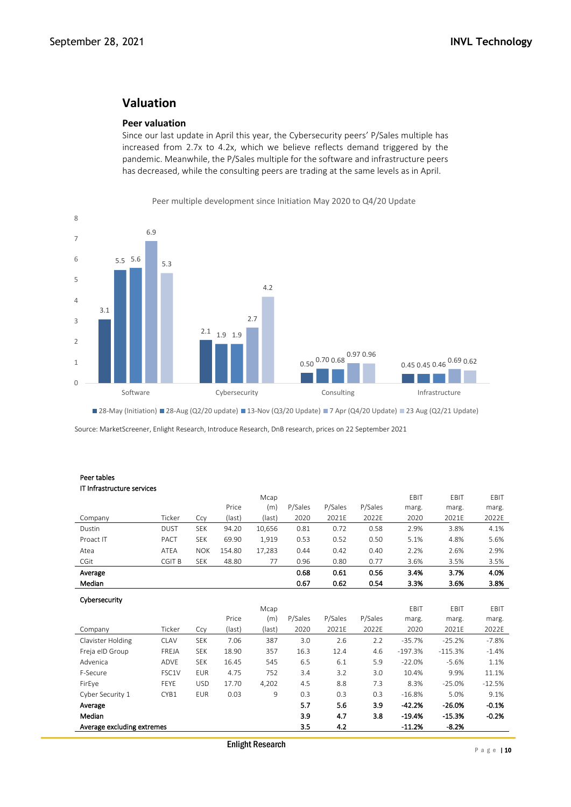# **Valuation**

# **Peer valuation**

Since our last update in April this year, the Cybersecurity peers' P/Sales multiple has increased from 2.7x to 4.2x, which we believe reflects demand triggered by the pandemic. Meanwhile, the P/Sales multiple for the software and infrastructure peers has decreased, while the consulting peers are trading at the same levels as in April.



Peer multiple development since Initiation May 2020 to Q4/20 Update

28-May (Initiation) 28-Aug (Q2/20 update) 13-Nov (Q3/20 Update) 7 Apr (Q4/20 Update) 23 Aug (Q2/21 Update)

Source: MarketScreener, Enlight Research, Introduce Research, DnB research, prices on 22 September 2021

#### Peer tables IT Infrastructure services

|                            |             |            |        | Mcap   |         |         |         | EBIT      | EBIT      | EBIT     |
|----------------------------|-------------|------------|--------|--------|---------|---------|---------|-----------|-----------|----------|
|                            |             |            | Price  | (m)    | P/Sales | P/Sales | P/Sales | marg.     | marg.     | marg.    |
| Company                    | Ticker      | Ccy        | (last) | (last) | 2020    | 2021E   | 2022E   | 2020      | 2021E     | 2022E    |
| Dustin                     | <b>DUST</b> | <b>SEK</b> | 94.20  | 10,656 | 0.81    | 0.72    | 0.58    | 2.9%      | 3.8%      | 4.1%     |
| Proact IT                  | PACT        | <b>SEK</b> | 69.90  | 1,919  | 0.53    | 0.52    | 0.50    | 5.1%      | 4.8%      | 5.6%     |
| Atea                       | ATEA        | <b>NOK</b> | 154.80 | 17,283 | 0.44    | 0.42    | 0.40    | 2.2%      | 2.6%      | 2.9%     |
| CGit                       | CGIT B      | <b>SEK</b> | 48.80  | 77     | 0.96    | 0.80    | 0.77    | 3.6%      | 3.5%      | 3.5%     |
| Average                    |             |            |        |        | 0.68    | 0.61    | 0.56    | 3.4%      | 3.7%      | 4.0%     |
| Median                     |             |            |        |        | 0.67    | 0.62    | 0.54    | 3.3%      | 3.6%      | 3.8%     |
| Cybersecurity              |             |            |        |        |         |         |         |           |           |          |
|                            |             |            |        | Mcap   |         |         |         | EBIT      | EBIT      | EBIT     |
|                            |             |            | Price  | (m)    | P/Sales | P/Sales | P/Sales | marg.     | marg.     | marg.    |
| Company                    | Ticker      | Ccy        | (last) | (last) | 2020    | 2021E   | 2022E   | 2020      | 2021E     | 2022E    |
| Clavister Holding          | CLAV        | <b>SEK</b> | 7.06   | 387    | 3.0     | 2.6     | 2.2     | $-35.7%$  | $-25.2%$  | $-7.8%$  |
| Freja elD Group            | FREJA       | <b>SEK</b> | 18.90  | 357    | 16.3    | 12.4    | 4.6     | $-197.3%$ | $-115.3%$ | $-1.4%$  |
| Advenica                   | ADVE        | <b>SEK</b> | 16.45  | 545    | 6.5     | 6.1     | 5.9     | $-22.0%$  | $-5.6%$   | 1.1%     |
| F-Secure                   | FSC1V       | <b>EUR</b> | 4.75   | 752    | 3.4     | 3.2     | 3.0     | 10.4%     | 9.9%      | 11.1%    |
| FirEye                     | <b>FEYE</b> | <b>USD</b> | 17.70  | 4,202  | 4.5     | 8.8     | 7.3     | 8.3%      | $-25.0%$  | $-12.5%$ |
| Cyber Security 1           | CYB1        | <b>EUR</b> | 0.03   | 9      | 0.3     | 0.3     | 0.3     | $-16.8%$  | 5.0%      | 9.1%     |
| Average                    |             |            |        |        | 5.7     | 5.6     | 3.9     | $-42.2%$  | $-26.0%$  | $-0.1%$  |
| Median                     |             |            |        |        | 3.9     | 4.7     | 3.8     | $-19.4%$  | $-15.3%$  | $-0.2%$  |
| Average excluding extremes |             |            |        |        | 3.5     | 4.2     |         | $-11.2%$  | $-8.2%$   |          |
|                            |             |            |        |        |         |         |         |           |           |          |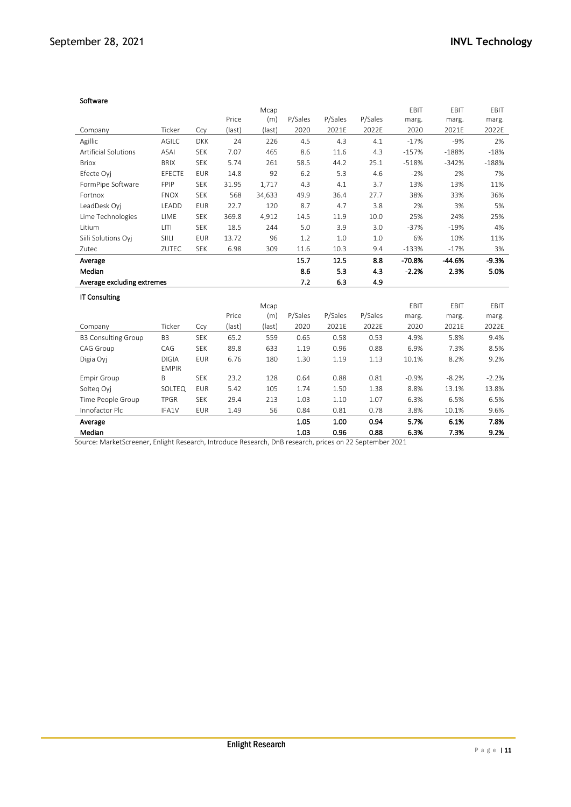#### Software

|                             |                |            |        | Mcap   |              |              |              | EBIT         | EBIT         | EBIT         |
|-----------------------------|----------------|------------|--------|--------|--------------|--------------|--------------|--------------|--------------|--------------|
|                             |                |            | Price  | (m)    | P/Sales      | P/Sales      | P/Sales      | marg.        | marg.        | marg.        |
| Company                     | Ticker         | Ccy        | (last) | (last) | 2020         | 2021E        | 2022E        | 2020         | 2021E        | 2022E        |
| Agillic                     | AGILC          | <b>DKK</b> | 24     | 226    | 4.5          | 4.3          | 4.1          | $-17%$       | $-9%$        | 2%           |
| <b>Artificial Solutions</b> | <b>ASAI</b>    | <b>SEK</b> | 7.07   | 465    | 8.6          | 11.6         | 4.3          | $-157%$      | $-188%$      | $-18%$       |
| <b>Briox</b>                | <b>BRIX</b>    | <b>SEK</b> | 5.74   | 261    | 58.5         | 44.2         | 25.1         | $-518%$      | $-342%$      | $-188%$      |
| Efecte Oyj                  | EFECTE         | <b>EUR</b> | 14.8   | 92     | 6.2          | 5.3          | 4.6          | $-2%$        | 2%           | 7%           |
| FormPipe Software           | FPIP           | <b>SEK</b> | 31.95  | 1,717  | 4.3          | 4.1          | 3.7          | 13%          | 13%          | 11%          |
| Fortnox                     | <b>FNOX</b>    | <b>SEK</b> | 568    | 34,633 | 49.9         | 36.4         | 27.7         | 38%          | 33%          | 36%          |
| LeadDesk Oyj                | LEADD          | <b>EUR</b> | 22.7   | 120    | 8.7          | 4.7          | 3.8          | 2%           | 3%           | 5%           |
| Lime Technologies           | LIME           | <b>SEK</b> | 369.8  | 4,912  | 14.5         | 11.9         | 10.0         | 25%          | 24%          | 25%          |
| Litium                      | LITI           | <b>SEK</b> | 18.5   | 244    | 5.0          | 3.9          | 3.0          | $-37%$       | $-19%$       | 4%           |
| Siili Solutions Oyj         | SIILI          | <b>EUR</b> | 13.72  | 96     | 1.2          | 1.0          | 1.0          | 6%           | 10%          | 11%          |
| Zutec                       | ZUTEC          | <b>SEK</b> | 6.98   | 309    | 11.6         | 10.3         | 9.4          | $-133%$      | $-17%$       | 3%           |
| Average                     |                |            |        |        | 15.7         | 12.5         | 8.8          | $-70.8%$     | $-44.6%$     | $-9.3%$      |
| Median                      |                |            |        |        | 8.6          | 5.3          | 4.3          | $-2.2%$      | 2.3%         | 5.0%         |
| Average excluding extremes  |                |            |        |        | 7.2          | 6.3          | 4.9          |              |              |              |
| <b>IT Consulting</b>        |                |            |        |        |              |              |              |              |              |              |
|                             |                |            |        | Mcap   |              |              |              | EBIT         | EBIT         | EBIT         |
|                             |                |            | Price  | (m)    | P/Sales      | P/Sales      | P/Sales      | marg.        | marg.        | marg.        |
| Company                     | Ticker         | Ccy        | (last) | (last) | 2020         | 2021E        | 2022E        | 2020         | 2021E        | 2022E        |
| <b>B3 Consulting Group</b>  | B <sub>3</sub> | <b>SEK</b> | 65.2   | 559    | 0.65         | 0.58         | 0.53         | 4.9%         | 5.8%         | 9.4%         |
| CAG Group                   | CAG            | <b>SEK</b> | 89.8   | 633    | 1.19         | 0.96         | 0.88         | 6.9%         | 7.3%         | 8.5%         |
| Digia Oyj                   | <b>DIGIA</b>   | <b>EUR</b> | 6.76   | 180    | 1.30         | 1.19         | 1.13         | 10.1%        | 8.2%         | 9.2%         |
|                             | <b>EMPIR</b>   |            |        |        |              |              |              |              |              |              |
| <b>Empir Group</b>          | B              | <b>SEK</b> | 23.2   | 128    | 0.64         | 0.88         | 0.81         | $-0.9%$      | $-8.2%$      | $-2.2%$      |
| Solteg Oyj                  | SOLTEQ         | <b>EUR</b> | 5.42   | 105    | 1.74         | 1.50         | 1.38         | 8.8%         | 13.1%        | 13.8%        |
| Time People Group           | <b>TPGR</b>    | <b>SEK</b> | 29.4   | 213    | 1.03         | 1.10         | 1.07         | 6.3%         | 6.5%         | 6.5%         |
|                             |                |            |        |        |              |              |              |              |              |              |
| Innofactor Plc              | IFA1V          | <b>EUR</b> | 1.49   | 56     | 0.84         | 0.81         | 0.78         | 3.8%         | 10.1%        | 9.6%         |
| Average<br>Median           |                |            |        |        | 1.05<br>1.03 | 1.00<br>0.96 | 0.94<br>0.88 | 5.7%<br>6.3% | 6.1%<br>7.3% | 7.8%<br>9.2% |

Source: MarketScreener, Enlight Research, Introduce Research, DnB research, prices on 22 September 2021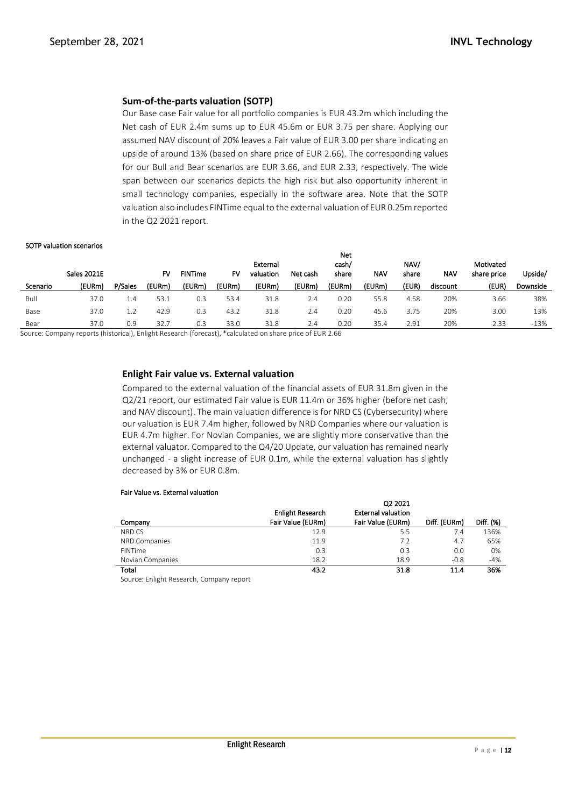# **Sum-of-the-parts valuation (SOTP)**

Our Base case Fair value for all portfolio companies is EUR 43.2m which including the Net cash of EUR 2.4m sums up to EUR 45.6m or EUR 3.75 per share. Applying our assumed NAV discount of 20% leaves a Fair value of EUR 3.00 per share indicating an upside of around 13% (based on share price of EUR 2.66). The corresponding values for our Bull and Bear scenarios are EUR 3.66, and EUR 2.33, respectively. The wide span between our scenarios depicts the high risk but also opportunity inherent in small technology companies, especially in the software area. Note that the SOTP valuation also includes FINTime equal to the external valuation of EUR 0.25m reported in the Q2 2021 report.

#### SOTP valuation scenarios

|          | <b>Sales 2021E</b> |         | F٧     | <b>FINTime</b> | F٧     | External<br>valuation | Net cash | IVCL<br>cash/<br>share | <b>NAV</b> | NAV/<br>share | <b>NAV</b> | Motivated<br>share price | Upside/  |
|----------|--------------------|---------|--------|----------------|--------|-----------------------|----------|------------------------|------------|---------------|------------|--------------------------|----------|
| Scenario | (EURm)             | P/Sales | (EURm) | (EURm)         | (EURm) | (EURm)                | (EURm)   | (EURm)                 | (EURm)     | (EUR)         | discount   | (EUR)                    | Downside |
| Bull     | 37.0               | 4.4     | 53.1   | 0.3            | 53.4   | 31.8                  | 2.4      | 0.20                   | 55.8       | 4.58          | 20%        | 3.66                     | 38%      |
| Base     | 37.0               | 1.2     | 42.9   | 0.3            | 43.2   | 31.8                  | 2.4      | 0.20                   | 45.6       | 3.75          | 20%        | 3.00                     | 13%      |
| Bear     | 37.0               | 0.9     | 32.7   | 0.3            | 33.0   | 31.8                  | 2.4      | 0.20                   | 35.4       | 2.91          | 20%        | 2.33                     | $-13%$   |

Net

Source: Company reports (historical), Enlight Research (forecast), \*calculated on share price of EUR 2.66

# **Enlight Fair value vs. External valuation**

Compared to the external valuation of the financial assets of EUR 31.8m given in the Q2/21 report, our estimated Fair value is EUR 11.4m or 36% higher (before net cash, and NAV discount). The main valuation difference is for NRD CS (Cybersecurity) where our valuation is EUR 7.4m higher, followed by NRD Companies where our valuation is EUR 4.7m higher. For Novian Companies, we are slightly more conservative than the external valuator. Compared to the Q4/20 Update, our valuation has remained nearly unchanged - a slight increase of EUR 0.1m, while the external valuation has slightly decreased by 3% or EUR 0.8m.

#### Fair Value vs. External valuation

|                  | <b>Enlight Research</b> | Q2 2021<br><b>External valuation</b> |              |           |
|------------------|-------------------------|--------------------------------------|--------------|-----------|
| Company          | Fair Value (EURm)       | Fair Value (EURm)                    | Diff. (EURm) | Diff. (%) |
| NRD CS           | 12.9                    | 5.5                                  | 7.4          | 136%      |
| NRD Companies    | 11.9                    | 7.2                                  | 4.7          | 65%       |
| <b>FINTime</b>   | 0.3                     | 0.3                                  | 0.0          | 0%        |
| Novian Companies | 18.2                    | 18.9                                 | $-0.8$       | -4%       |
| Total            | 43.2                    | 31.8                                 | 11.4         | 36%       |

Source: Enlight Research, Company report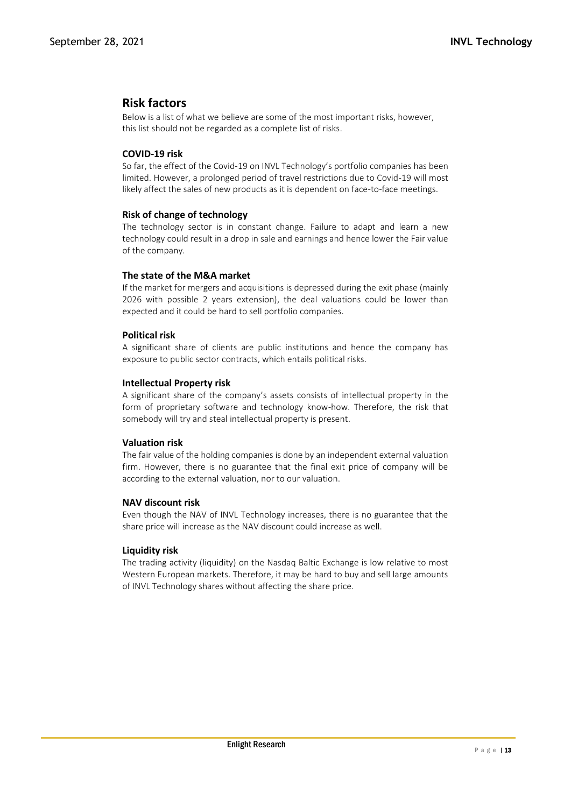# **Risk factors**

Below is a list of what we believe are some of the most important risks, however, this list should not be regarded as a complete list of risks.

# **COVID-19 risk**

So far, the effect of the Covid-19 on INVL Technology's portfolio companies has been limited. However, a prolonged period of travel restrictions due to Covid-19 will most likely affect the sales of new products as it is dependent on face-to-face meetings.

# **Risk of change of technology**

The technology sector is in constant change. Failure to adapt and learn a new technology could result in a drop in sale and earnings and hence lower the Fair value of the company.

# **The state of the M&A market**

If the market for mergers and acquisitions is depressed during the exit phase (mainly 2026 with possible 2 years extension), the deal valuations could be lower than expected and it could be hard to sell portfolio companies.

# **Political risk**

A significant share of clients are public institutions and hence the company has exposure to public sector contracts, which entails political risks.

# **Intellectual Property risk**

A significant share of the company's assets consists of intellectual property in the form of proprietary software and technology know-how. Therefore, the risk that somebody will try and steal intellectual property is present.

# **Valuation risk**

The fair value of the holding companies is done by an independent external valuation firm. However, there is no guarantee that the final exit price of company will be according to the external valuation, nor to our valuation.

# **NAV discount risk**

Even though the NAV of INVL Technology increases, there is no guarantee that the share price will increase as the NAV discount could increase as well.

# **Liquidity risk**

The trading activity (liquidity) on the Nasdaq Baltic Exchange is low relative to most Western European markets. Therefore, it may be hard to buy and sell large amounts of INVL Technology shares without affecting the share price.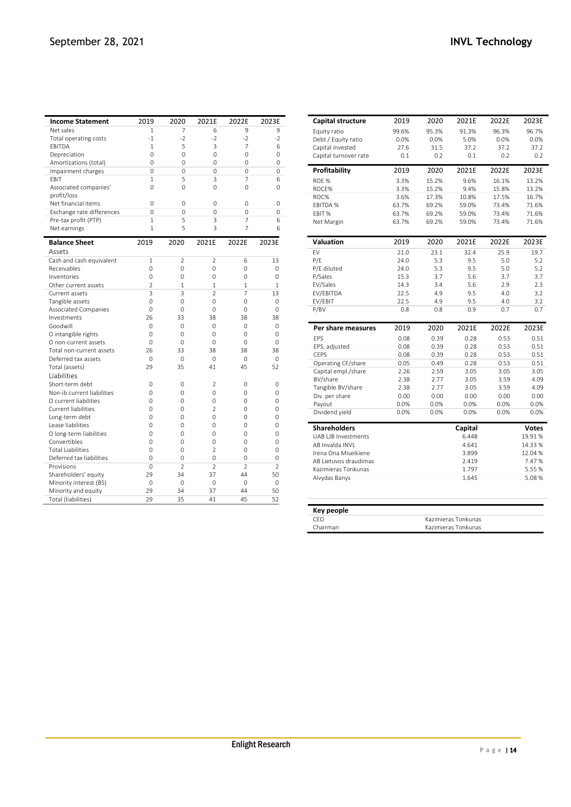| <b>Income Statement</b>                    | 2019                 | 2020                     | 2021E          | 2022E                    | 2023E                |
|--------------------------------------------|----------------------|--------------------------|----------------|--------------------------|----------------------|
| Net sales                                  | 1                    | 7                        | 6              | 9                        | 9                    |
| Total operating costs                      | $-1$                 | $-2$                     | $-2$           | $-2$                     | $-2$                 |
| EBITDA                                     | 1                    | 5                        | 3              | 7                        | 6                    |
| Depreciation                               | $\Omega$             | 0                        | 0              | 0                        | 0                    |
| Amortizations (total)                      | $\Omega$             | $\Omega$                 | 0              | $\Omega$                 | 0                    |
| Impairment charges                         | $\Omega$             | $\Omega$                 | $\Omega$       | 0                        | $\Omega$             |
| EBIT                                       | 1                    | 5                        | 3              | 7                        | 6                    |
| Associated companies'<br>profit/loss       | $\Omega$             | $\Omega$                 | $\Omega$       | $\Omega$                 | $\Omega$             |
| Net financial items                        | $\Omega$             | $\Omega$                 | $\Omega$       | $\Omega$                 | $\Omega$             |
| Exchange rate differences                  | $\Omega$             | $\Omega$                 | $\Omega$       | $\Omega$                 | $\Omega$             |
| Pre-tax profit (PTP)                       | 1                    | 5                        | 3              | 7                        | 6                    |
| Net earnings                               | 1                    | 5                        | 3              | 7                        | 6                    |
| <b>Balance Sheet</b>                       | 2019                 | 2020                     | 2021E          | 2022E                    | 2023E                |
| Assets                                     |                      |                          |                |                          |                      |
| Cash and cash equivalent                   | $\mathbf{1}$         | $\overline{2}$           | $\overline{2}$ | 6                        | 13                   |
| Receivables                                | $\Omega$             | $\Omega$                 | $\Omega$       | $\Omega$                 | $\Omega$             |
| Inventories                                | $\Omega$             | $\Omega$                 | 0              | $\Omega$                 | $\Omega$             |
| Other current assets                       | $\overline{2}$       | $\mathbf{1}$             | $\mathbf{1}$   | $\mathbf{1}$             | 1                    |
| Current assets                             | 3                    | 3                        | $\mathfrak{D}$ | 7                        | 13                   |
| Tangible assets                            | $\Omega$<br>$\Omega$ | $\Omega$<br>$\Omega$     | 0<br>0         | 0<br>$\Omega$            | $\Omega$<br>$\Omega$ |
| <b>Associated Companies</b><br>Investments | 26                   | 33                       | 38             | 38                       | 38                   |
| Goodwill                                   | $\Omega$             | $\Omega$                 | $\Omega$       | $\Omega$                 | $\Omega$             |
| O intangible rights                        | $\Omega$             | $\Omega$                 | 0              | $\Omega$                 | $\Omega$             |
| O non-current assets                       | $\Omega$             | $\Omega$                 | 0              | $\Omega$                 | $\Omega$             |
| Total non-current assets                   | 26                   | 33                       | 38             | 38                       | 38                   |
| Deferred tax assets                        | $\Omega$             | 0                        | 0              | $\Omega$                 | $\Omega$             |
| Total (assets)                             | 29                   | 35                       | 41             | 45                       | 52                   |
| Liabilities                                |                      |                          |                |                          |                      |
| Short-term debt                            | $\Omega$             | 0                        | $\overline{2}$ | 0                        | $\Omega$             |
| Non-ib current liabilities                 | 0                    | $\Omega$                 | 0              | $\Omega$                 | 0                    |
| O current liabilities                      | 0                    | 0                        | 0              | 0                        | $\Omega$             |
| <b>Current liabilities</b>                 | $\Omega$             | $\Omega$                 | $\mathfrak{D}$ | $\Omega$                 | $\Omega$             |
| Long-term debt                             | $\Omega$             | $\Omega$                 | 0              | $\Omega$                 | $\Omega$             |
| Lease liabilities                          | 0                    | $\Omega$                 | 0              | $\Omega$                 | $\Omega$             |
| O long-term liabilities                    | $\Omega$             | $\Omega$                 | 0              | $\Omega$                 | $\Omega$             |
| Convertibles                               | $\Omega$             | 0                        | $\Omega$       | 0                        | $\Omega$             |
| <b>Total Liabilities</b>                   | $\Omega$             | 0                        | $\overline{2}$ | 0                        | $\Omega$             |
| Deferred tax liabilities                   | $\Omega$             | $\Omega$                 | $\Omega$       | $\Omega$                 | $\Omega$             |
| Provisions                                 | $\Omega$             | $\overline{\phantom{a}}$ | $\mathfrak{D}$ | $\overline{\phantom{a}}$ | $\mathcal{P}$        |
| Shareholders' equity                       | 29                   | 34                       | 37             | 44                       | 50                   |
| Minority interest (BS)                     | 0                    | 0                        | 0              | $\Omega$                 | 0                    |
| Minority and equity                        | 29                   | 34                       | 37             | 44                       | 50                   |

| Capital structure          | 2019  | 2020  | 2021E   | 2022E | 2023E   |
|----------------------------|-------|-------|---------|-------|---------|
| Equity ratio               | 99.6% | 95.3% | 91.3%   | 96.3% | 96.7%   |
| Debt / Equity ratio        | 0.0%  | 0.0%  | 5.0%    | 0.0%  | 0.0%    |
| Capital invested           | 27.6  | 31.5  | 37.2    | 37.2  | 37.2    |
| Capital turnover rate      | 0.1   | 0.2   | 0.1     | 0.2   | 0.2     |
| Profitability              | 2019  | 2020  | 2021E   | 2022E | 2023E   |
| ROE %                      | 3.3%  | 15.2% | 9.6%    | 16.1% | 13.2%   |
| ROCE%                      | 3.3%  | 15.2% | 9.4%    | 15.8% | 13.2%   |
| ROC%                       | 3.6%  | 17.3% | 10.8%   | 17.5% | 16.7%   |
| EBITDA %                   | 63.7% | 69.2% | 59.0%   | 73.4% | 71.6%   |
| EBIT %                     | 63.7% | 69.2% | 59.0%   | 73.4% | 71.6%   |
| Net Margin                 | 63.7% | 69.2% | 59.0%   | 73.4% | 71.6%   |
| <b>Valuation</b>           | 2019  | 2020  | 2021E   | 2022E | 2023E   |
| EV                         | 21.0  | 23.1  | 32.4    | 25.9  | 19.7    |
| P/E                        | 24.0  | 5.3   | 9.5     | 5.0   | 5.2     |
|                            | 74.0  | 5.3   | 9.5     | 5.0   | 5.2     |
| P/E diluted<br>P/Sales     | 15.3  | 3.7   | 5.6     | 3.7   | 3.7     |
| EV/Sales                   | 14.3  | 3.4   | 5.6     | 2.9   | 2.3     |
| EV/EBITDA                  | 22.5  | 4.9   | 9.5     | 4.0   | 3.2     |
| EV/EBIT                    | 22.5  | 4.9   | 9.5     | 4.0   | 3.2     |
| P/BV                       | 0.8   | 0.8   | 0.9     | 0.7   | 0.7     |
|                            |       |       |         |       |         |
| Per share measures         | 2019  | 2020  | 2021E   | 2022E | 2023E   |
| <b>FPS</b>                 | 0.08  | 0.39  | 0.28    | 0.53  | 0.51    |
| EPS, adjusted              | 0.08  | 0.39  | 0.28    | 0.53  | 0.51    |
| <b>CEPS</b>                | 0.08  | 0.39  | 0.28    | 0.53  | 0.51    |
| Operating CF/share         | 0.05  | 0.49  | 0.28    | 0.53  | 0.51    |
| Capital empl./share        | 2.26  | 2.59  | 3.05    | 3.05  | 3.05    |
| BV/share                   | 2.38  | 2.77  | 3.05    | 3.59  | 4.09    |
| Tangible BV/share          | 2.38  | 2.77  | 3.05    | 3.59  | 4.09    |
| Div. per share             | 0.00  | 0.00  | 0.00    | 0.00  | 0.00    |
| Payout                     | 0.0%  | 0.0%  | 0.0%    | 0.0%  | 0.0%    |
| Dividend yield             | 0.0%  | 0.0%  | 0.0%    | 0.0%  | 0.0%    |
| <b>Shareholders</b>        |       |       | Capital |       | Votes   |
| <b>UAB LIB Investments</b> |       |       | 6.448   |       | 19.91%  |
| AB Invalda INVL            |       |       | 4.641   |       | 14.33%  |
| Irena Ona Miseikiene       |       |       | 3.899   |       | 12.04 % |
| AB Lietuvos draudimas      |       |       | 2.419   |       | 7.47%   |
| Kazimieras Tonkunas        |       |       | 1.797   |       | 5.55%   |
| Alvydas Banys              |       |       | 1.645   |       | 5.08%   |
|                            |       |       |         |       |         |

| Key people |                     |
|------------|---------------------|
| CEO        | Kazimieras Tonkunas |
| Chairman   | Kazimieras Tonkunas |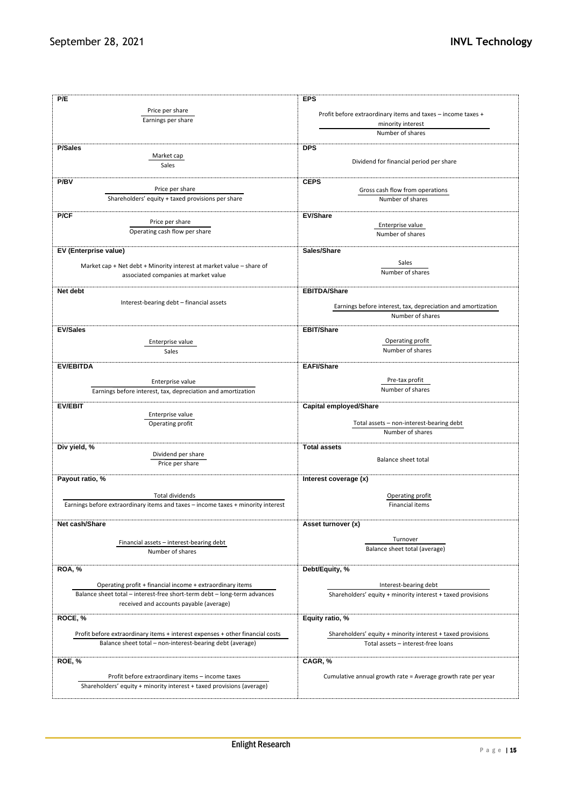| P/E                                                                                                                       | <b>EPS</b>                                                   |
|---------------------------------------------------------------------------------------------------------------------------|--------------------------------------------------------------|
| Price per share                                                                                                           |                                                              |
| Earnings per share                                                                                                        | Profit before extraordinary items and taxes - income taxes + |
|                                                                                                                           | minority interest                                            |
|                                                                                                                           | Number of shares                                             |
| <b>P/Sales</b>                                                                                                            | <b>DPS</b>                                                   |
| Market cap                                                                                                                |                                                              |
| Sales                                                                                                                     | Dividend for financial period per share                      |
|                                                                                                                           |                                                              |
| P/BV                                                                                                                      | <b>CEPS</b>                                                  |
| Price per share<br>Shareholders' equity + taxed provisions per share                                                      | Gross cash flow from operations<br>Number of shares          |
|                                                                                                                           |                                                              |
| P/CF                                                                                                                      | <b>EV/Share</b>                                              |
| Price per share                                                                                                           | Enterprise value                                             |
| Operating cash flow per share                                                                                             | Number of shares                                             |
|                                                                                                                           |                                                              |
| EV (Enterprise value)                                                                                                     | Sales/Share                                                  |
| Market cap + Net debt + Minority interest at market value - share of                                                      | Sales                                                        |
| associated companies at market value                                                                                      | Number of shares                                             |
|                                                                                                                           |                                                              |
| Net debt                                                                                                                  | <b>EBITDA/Share</b>                                          |
| Interest-bearing debt - financial assets                                                                                  |                                                              |
|                                                                                                                           | Earnings before interest, tax, depreciation and amortization |
|                                                                                                                           | Number of shares                                             |
| <b>EV/Sales</b>                                                                                                           | <b>EBIT/Share</b>                                            |
| Enterprise value                                                                                                          | Operating profit                                             |
| Sales                                                                                                                     | Number of shares                                             |
|                                                                                                                           |                                                              |
| <b>EV/EBITDA</b>                                                                                                          | <b>EAFI/Share</b>                                            |
| Enterprise value                                                                                                          | Pre-tax profit                                               |
| Earnings before interest, tax, depreciation and amortization                                                              | Number of shares                                             |
|                                                                                                                           |                                                              |
| <b>EV/EBIT</b>                                                                                                            | <b>Capital employed/Share</b>                                |
| Enterprise value                                                                                                          |                                                              |
| Operating profit                                                                                                          | Total assets - non-interest-bearing debt<br>Number of shares |
|                                                                                                                           |                                                              |
| Div yield, %                                                                                                              | <b>Total assets</b>                                          |
| Dividend per share                                                                                                        | <b>Balance sheet total</b>                                   |
| Price per share                                                                                                           |                                                              |
| Payout ratio, %                                                                                                           | Interest coverage (x)                                        |
|                                                                                                                           |                                                              |
| <b>Total dividends</b>                                                                                                    | Operating profit                                             |
| Earnings before extraordinary items and taxes - income taxes + minority interest                                          | Financial items                                              |
|                                                                                                                           |                                                              |
| Net cash/Share                                                                                                            | Asset turnover (x)                                           |
|                                                                                                                           | Turnover                                                     |
| Financial assets - interest-bearing debt                                                                                  | Balance sheet total (average)                                |
| Number of shares                                                                                                          |                                                              |
| <b>ROA, %</b>                                                                                                             |                                                              |
|                                                                                                                           | Debt/Equity, %                                               |
| Operating profit + financial income + extraordinary items                                                                 | Interest-bearing debt                                        |
| Balance sheet total - interest-free short-term debt - long-term advances                                                  | Shareholders' equity + minority interest + taxed provisions  |
| received and accounts payable (average)                                                                                   |                                                              |
| ROCE, %                                                                                                                   |                                                              |
|                                                                                                                           | Equity ratio, %                                              |
| Profit before extraordinary items + interest expenses + other financial costs                                             | Shareholders' equity + minority interest + taxed provisions  |
| Balance sheet total - non-interest-bearing debt (average)                                                                 | Total assets - interest-free loans                           |
|                                                                                                                           |                                                              |
| ROE, %                                                                                                                    | CAGR, %                                                      |
|                                                                                                                           |                                                              |
| Profit before extraordinary items - income taxes<br>Shareholders' equity + minority interest + taxed provisions (average) | Cumulative annual growth rate = Average growth rate per year |
|                                                                                                                           |                                                              |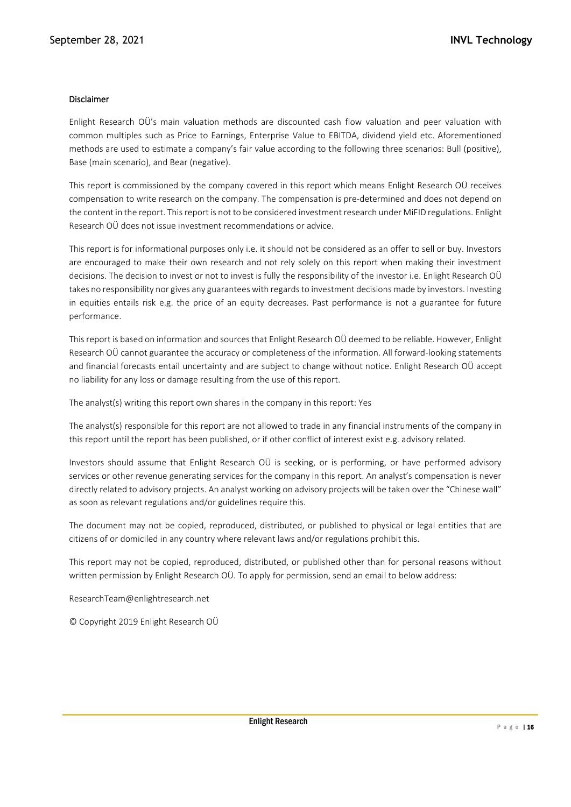### Disclaimer

Enlight Research OÜ's main valuation methods are discounted cash flow valuation and peer valuation with common multiples such as Price to Earnings, Enterprise Value to EBITDA, dividend yield etc. Aforementioned methods are used to estimate a company's fair value according to the following three scenarios: Bull (positive), Base (main scenario), and Bear (negative).

This report is commissioned by the company covered in this report which means Enlight Research OÜ receives compensation to write research on the company. The compensation is pre-determined and does not depend on the content in the report. This report is not to be considered investment research under MiFID regulations. Enlight Research OÜ does not issue investment recommendations or advice.

This report is for informational purposes only i.e. it should not be considered as an offer to sell or buy. Investors are encouraged to make their own research and not rely solely on this report when making their investment decisions. The decision to invest or not to invest is fully the responsibility of the investor i.e. Enlight Research OÜ takes no responsibility nor gives any guarantees with regards to investment decisions made by investors. Investing in equities entails risk e.g. the price of an equity decreases. Past performance is not a guarantee for future performance.

This report is based on information and sources that Enlight Research OÜ deemed to be reliable. However, Enlight Research OÜ cannot guarantee the accuracy or completeness of the information. All forward-looking statements and financial forecasts entail uncertainty and are subject to change without notice. Enlight Research OÜ accept no liability for any loss or damage resulting from the use of this report.

The analyst(s) writing this report own shares in the company in this report: Yes

The analyst(s) responsible for this report are not allowed to trade in any financial instruments of the company in this report until the report has been published, or if other conflict of interest exist e.g. advisory related.

Investors should assume that Enlight Research OÜ is seeking, or is performing, or have performed advisory services or other revenue generating services for the company in this report. An analyst's compensation is never directly related to advisory projects. An analyst working on advisory projects will be taken over the "Chinese wall" as soon as relevant regulations and/or guidelines require this.

The document may not be copied, reproduced, distributed, or published to physical or legal entities that are citizens of or domiciled in any country where relevant laws and/or regulations prohibit this.

This report may not be copied, reproduced, distributed, or published other than for personal reasons without written permission by Enlight Research OÜ. To apply for permission, send an email to below address:

ResearchTeam@enlightresearch.net

© Copyright 2019 Enlight Research OÜ